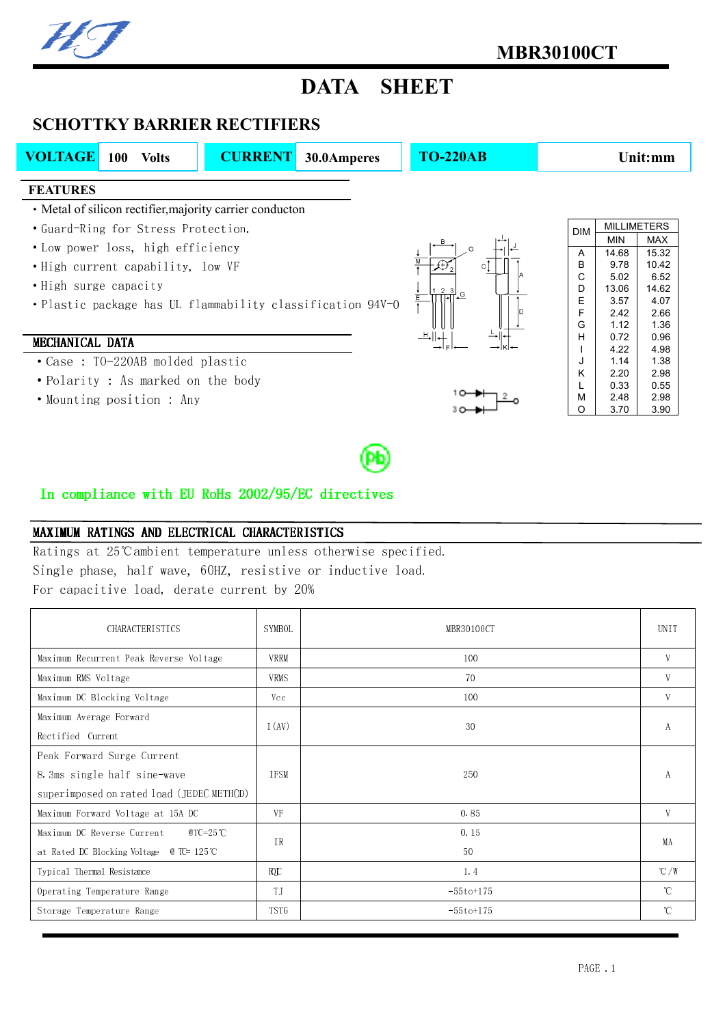## DATA SHEET

## SCHOTTKY BARRIER RECTIFIERS

| <b>VOLTAGE</b>                           | <b>100</b><br><b>Volts</b>                                                                                                                                                | <b>CURRENT</b> | 30.0Amperes                                                | <b>TO-220AB</b>            |                                                    | Unit:mm                                                                      |                                                                                                     |  |
|------------------------------------------|---------------------------------------------------------------------------------------------------------------------------------------------------------------------------|----------------|------------------------------------------------------------|----------------------------|----------------------------------------------------|------------------------------------------------------------------------------|-----------------------------------------------------------------------------------------------------|--|
| <b>FEATURES</b><br>• High surge capacity | • Metal of silicon rectifier, majority carrier conducton<br>• Guard-Ring for Stress Protection.<br>• Low power loss, high efficiency<br>. High current capability, low VF |                | . Plastic package has UL flammability classification 94V-0 | $\Omega$<br><u>1 2 회 -</u> | <b>DIM</b><br>Α<br>в<br>C<br>D<br>E<br>F<br>G<br>Н | <b>MIN</b><br>14.68<br>9.78<br>5.02<br>13.06<br>3.57<br>2.42<br>1.12<br>0.72 | <b>MILLIMETERS</b><br><b>MAX</b><br>15.32<br>10.42<br>6.52<br>14.62<br>4.07<br>2.66<br>1.36<br>0.96 |  |
| MECHANICAL DATA                          | • Case: TO-220AB molded plastic<br>• Polarity : As marked on the body<br>• Mounting position : Any                                                                        |                |                                                            |                            | J<br>Κ<br>L<br>M<br>O                              | 4.22<br>1.14<br>2.20<br>0.33<br>2.48<br>3.70                                 | 4.98<br>1.38<br>2.98<br>0.55<br>2.98<br>3.90                                                        |  |

## In compliance with EU RoHs  $2002/95/EC$  directives

## MAXIMUM RATINGS AND ELECTRICAL CHARACTERISTICS

Ratings at 25℃ambient temperature unless otherwise specified. Single phase, half wave, 60HZ, resistive or inductive load. For capacitive load, derate current by 20%

| <b>CHARACTERISTICS</b>                                         | SYMBOL      | MBR30100CT   | <b>UNIT</b>    |
|----------------------------------------------------------------|-------------|--------------|----------------|
| Maximum Recurrent Peak Reverse Voltage                         | VRRM        | 100          | V              |
| Maximum RMS Voltage                                            | <b>VRMS</b> | 70           | V              |
| Maximum DC Blocking Voltage                                    | Vcc         | 100          | V              |
| Maximum Average Forward<br>Rectified Current                   | I (AV)      | 30           | А              |
| Peak Forward Surge Current                                     |             |              |                |
| 8.3ms single half sine-wave                                    | <b>TFSM</b> | 250          | A              |
| superimposed on rated load (JEDEC METHOD)                      |             |              |                |
| Maximum Forward Voltage at 15A DC                              | VF          | 0.85         | V              |
| Maximum DC Reverse Current<br>@TC=25°C                         | <b>IR</b>   | 0.15         |                |
| at Rated DC Blocking Voltage $\quad \textcircled{r}$ TC= 125°C |             | 50           | MA             |
| Typical Thermal Resistance                                     | ЮC          | 1.4          | $^{\circ}$ C/W |
| Operating Temperature Range                                    | T J         | $-55t$ o+175 | $^{\circ}$ C   |
| Storage Temperature Range                                      | <b>TSTG</b> | $-55t$ o+175 | $\mathcal{C}$  |